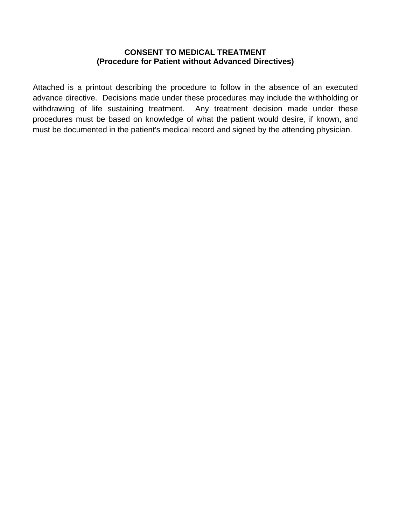#### **CONSENT TO MEDICAL TREATMENT (Procedure for Patient without Advanced Directives)**

Attached is a printout describing the procedure to follow in the absence of an executed advance directive. Decisions made under these procedures may include the withholding or withdrawing of life sustaining treatment. Any treatment decision made under these procedures must be based on knowledge of what the patient would desire, if known, and must be documented in the patient's medical record and signed by the attending physician.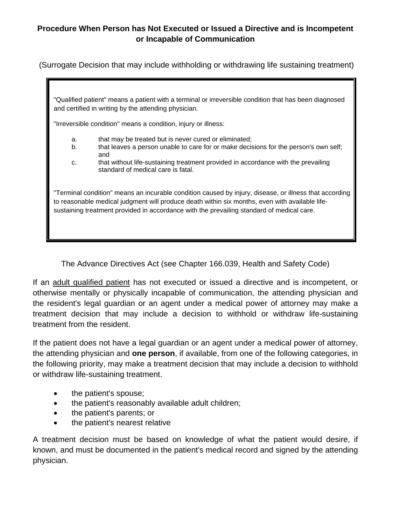(Surrogate Decision that may include withholding or withdrawing life sustaining treatment)

"Qualified patient" means a patient with a terminal or irreversible condition that has been diagnosed and certified in writing by the attending physician.

"Irreversible condition" means a condition, injury or illness:

- a. that may be treated but is never cured or eliminated;
- b. that leaves a person unable to care for or make decisions for the person's own self; and
- c. that without life-sustaining treatment provided in accordance with the prevailing standard of medical care is fatal.

"Terminal condition" means an incurable condition caused by injury, disease, or illness that according to reasonable medical judgment will produce death within six months, even with available lifesustaining treatment provided in accordance with the prevailing standard of medical care.

The Advance Directives Act (see Chapter 166.039, Health and Safety Code)

If an adult qualified patient has not executed or issued a directive and is incompetent, or otherwise mentally or physically incapable of communication, the attending physician and the resident's legal guardian or an agent under a medical power of attorney may make a treatment decision that may include a decision to withhold or withdraw life-sustaining treatment from the resident.

If the patient does not have a legal guardian or an agent under a medical power of attorney, the attending physician and **one person**, if available, from one of the following categories, in the following priority, may make a treatment decision that may include a decision to withhold or withdraw life-sustaining treatment.

- the patient's spouse;
- the patient's reasonably available adult children;
- the patient's parents; or
- the patient's nearest relative

A treatment decision must be based on knowledge of what the patient would desire, if known, and must be documented in the patient's medical record and signed by the attending physician.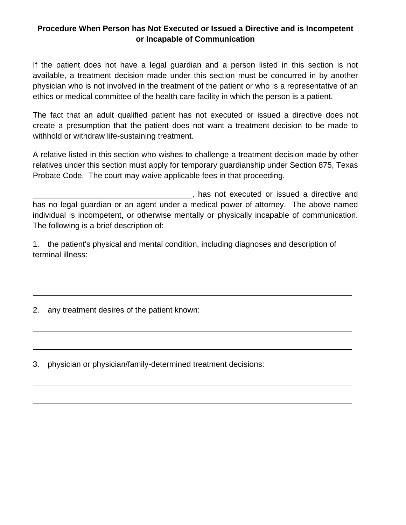If the patient does not have a legal guardian and a person listed in this section is not available, a treatment decision made under this section must be concurred in by another physician who is not involved in the treatment of the patient or who is a representative of an ethics or medical committee of the health care facility in which the person is a patient.

The fact that an adult qualified patient has not executed or issued a directive does not create a presumption that the patient does not want a treatment decision to be made to withhold or withdraw life-sustaining treatment.

A relative listed in this section who wishes to challenge a treatment decision made by other relatives under this section must apply for temporary guardianship under Section 875, Texas Probate Code. The court may waive applicable fees in that proceeding.

\_\_\_\_\_\_\_\_\_\_\_\_\_\_\_\_\_\_\_\_\_\_\_\_\_\_\_\_\_\_\_\_\_\_\_\_, has not executed or issued a directive and has no legal guardian or an agent under a medical power of attorney. The above named individual is incompetent, or otherwise mentally or physically incapable of communication. The following is a brief description of:

1. the patient's physical and mental condition, including diagnoses and description of terminal illness:

2. any treatment desires of the patient known:

3. physician or physician/family-determined treatment decisions: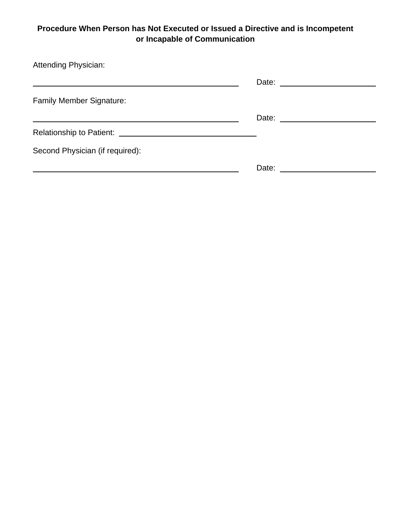| <b>Attending Physician:</b>     |                                                                                                                                                                                                                                |
|---------------------------------|--------------------------------------------------------------------------------------------------------------------------------------------------------------------------------------------------------------------------------|
|                                 |                                                                                                                                                                                                                                |
| <b>Family Member Signature:</b> |                                                                                                                                                                                                                                |
|                                 | Date: ________________________                                                                                                                                                                                                 |
|                                 |                                                                                                                                                                                                                                |
| Second Physician (if required): |                                                                                                                                                                                                                                |
|                                 | Date: the contract of the contract of the contract of the contract of the contract of the contract of the contract of the contract of the contract of the contract of the contract of the contract of the contract of the cont |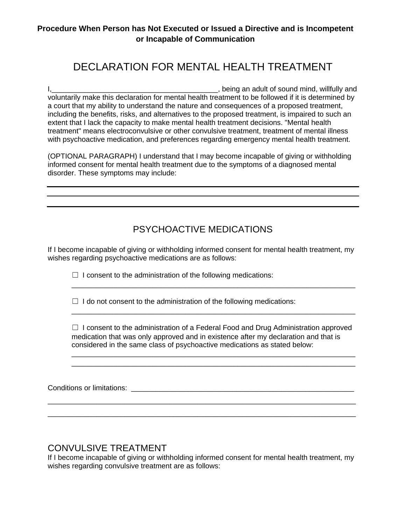# DECLARATION FOR MENTAL HEALTH TREATMENT

I,\_\_\_\_\_\_\_\_\_\_\_\_\_\_\_\_\_\_\_\_\_\_\_\_\_\_\_\_\_\_\_\_\_\_\_\_\_\_\_\_\_, being an adult of sound mind, willfully and voluntarily make this declaration for mental health treatment to be followed if it is determined by a court that my ability to understand the nature and consequences of a proposed treatment, including the benefits, risks, and alternatives to the proposed treatment, is impaired to such an extent that I lack the capacity to make mental health treatment decisions. "Mental health treatment" means electroconvulsive or other convulsive treatment, treatment of mental illness with psychoactive medication, and preferences regarding emergency mental health treatment.

(OPTIONAL PARAGRAPH) I understand that I may become incapable of giving or withholding informed consent for mental health treatment due to the symptoms of a diagnosed mental disorder. These symptoms may include:

### PSYCHOACTIVE MEDICATIONS

If I become incapable of giving or withholding informed consent for mental health treatment, my wishes regarding psychoactive medications are as follows:

 $\Box$  I consent to the administration of the following medications:

 $\Box$  I do not consent to the administration of the following medications:

 $\Box$  I consent to the administration of a Federal Food and Drug Administration approved medication that was only approved and in existence after my declaration and that is considered in the same class of psychoactive medications as stated below:

\_\_\_\_\_\_\_\_\_\_\_\_\_\_\_\_\_\_\_\_\_\_\_\_\_\_\_\_\_\_\_\_\_\_\_\_\_\_\_\_\_\_\_\_\_\_\_\_\_\_\_\_\_\_\_\_\_\_\_\_\_\_\_\_\_\_\_\_\_\_ \_\_\_\_\_\_\_\_\_\_\_\_\_\_\_\_\_\_\_\_\_\_\_\_\_\_\_\_\_\_\_\_\_\_\_\_\_\_\_\_\_\_\_\_\_\_\_\_\_\_\_\_\_\_\_\_\_\_\_\_\_\_\_\_\_\_\_\_\_\_

\_\_\_\_\_\_\_\_\_\_\_\_\_\_\_\_\_\_\_\_\_\_\_\_\_\_\_\_\_\_\_\_\_\_\_\_\_\_\_\_\_\_\_\_\_\_\_\_\_\_\_\_\_\_\_\_\_\_\_\_\_\_\_\_\_\_\_\_\_\_

\_\_\_\_\_\_\_\_\_\_\_\_\_\_\_\_\_\_\_\_\_\_\_\_\_\_\_\_\_\_\_\_\_\_\_\_\_\_\_\_\_\_\_\_\_\_\_\_\_\_\_\_\_\_\_\_\_\_\_\_\_\_\_\_\_\_\_\_\_\_

Conditions or limitations: \_\_\_\_\_\_\_\_\_\_\_\_\_\_\_\_\_\_\_\_\_\_\_\_\_\_\_\_\_\_\_\_\_\_\_\_\_\_\_\_\_\_\_\_\_\_\_\_\_\_\_\_\_\_\_

### CONVULSIVE TREATMENT

If I become incapable of giving or withholding informed consent for mental health treatment, my wishes regarding convulsive treatment are as follows:

\_\_\_\_\_\_\_\_\_\_\_\_\_\_\_\_\_\_\_\_\_\_\_\_\_\_\_\_\_\_\_\_\_\_\_\_\_\_\_\_\_\_\_\_\_\_\_\_\_\_\_\_\_\_\_\_\_\_\_\_\_\_\_\_\_\_\_\_\_\_\_\_\_\_\_\_ \_\_\_\_\_\_\_\_\_\_\_\_\_\_\_\_\_\_\_\_\_\_\_\_\_\_\_\_\_\_\_\_\_\_\_\_\_\_\_\_\_\_\_\_\_\_\_\_\_\_\_\_\_\_\_\_\_\_\_\_\_\_\_\_\_\_\_\_\_\_\_\_\_\_\_\_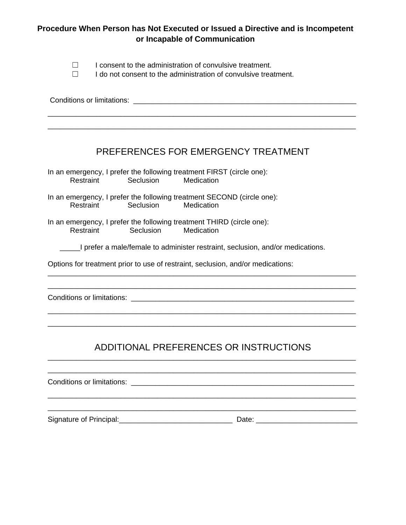- $\nabla$  I consent to the administration of convulsive treatment.
- ☐ I do not consent to the administration of convulsive treatment.

## PREFERENCES FOR EMERGENCY TREATMENT

In an emergency, I prefer the following treatment FIRST (circle one): Restraint Seclusion Medication

- In an emergency, I prefer the following treatment SECOND (circle one): Restraint Seclusion Medication
- In an emergency, I prefer the following treatment THIRD (circle one): **Medication**

\_\_\_\_\_I prefer a male/female to administer restraint, seclusion, and/or medications.

\_\_\_\_\_\_\_\_\_\_\_\_\_\_\_\_\_\_\_\_\_\_\_\_\_\_\_\_\_\_\_\_\_\_\_\_\_\_\_\_\_\_\_\_\_\_\_\_\_\_\_\_\_\_\_\_\_\_\_\_\_\_\_\_\_\_\_\_\_\_\_\_\_\_\_\_ \_\_\_\_\_\_\_\_\_\_\_\_\_\_\_\_\_\_\_\_\_\_\_\_\_\_\_\_\_\_\_\_\_\_\_\_\_\_\_\_\_\_\_\_\_\_\_\_\_\_\_\_\_\_\_\_\_\_\_\_\_\_\_\_\_\_\_\_\_\_\_\_\_\_\_\_

\_\_\_\_\_\_\_\_\_\_\_\_\_\_\_\_\_\_\_\_\_\_\_\_\_\_\_\_\_\_\_\_\_\_\_\_\_\_\_\_\_\_\_\_\_\_\_\_\_\_\_\_\_\_\_\_\_\_\_\_\_\_\_\_\_\_\_\_\_\_\_\_\_\_\_\_ \_\_\_\_\_\_\_\_\_\_\_\_\_\_\_\_\_\_\_\_\_\_\_\_\_\_\_\_\_\_\_\_\_\_\_\_\_\_\_\_\_\_\_\_\_\_\_\_\_\_\_\_\_\_\_\_\_\_\_\_\_\_\_\_\_\_\_\_\_\_\_\_\_\_\_\_

Options for treatment prior to use of restraint, seclusion, and/or medications:

Conditions or limitations: \_\_\_\_\_\_\_\_\_\_\_\_\_\_\_\_\_\_\_\_\_\_\_\_\_\_\_\_\_\_\_\_\_\_\_\_\_\_\_\_\_\_\_\_\_\_\_\_\_\_\_\_\_\_\_

#### ADDITIONAL PREFERENCES OR INSTRUCTIONS \_\_\_\_\_\_\_\_\_\_\_\_\_\_\_\_\_\_\_\_\_\_\_\_\_\_\_\_\_\_\_\_\_\_\_\_\_\_\_\_\_\_\_\_\_\_\_\_\_\_\_\_\_\_\_\_\_\_\_\_\_\_\_\_\_\_\_\_\_\_\_\_\_\_\_\_

\_\_\_\_\_\_\_\_\_\_\_\_\_\_\_\_\_\_\_\_\_\_\_\_\_\_\_\_\_\_\_\_\_\_\_\_\_\_\_\_\_\_\_\_\_\_\_\_\_\_\_\_\_\_\_\_\_\_\_\_\_\_\_\_\_\_\_\_\_\_\_\_\_\_\_\_

\_\_\_\_\_\_\_\_\_\_\_\_\_\_\_\_\_\_\_\_\_\_\_\_\_\_\_\_\_\_\_\_\_\_\_\_\_\_\_\_\_\_\_\_\_\_\_\_\_\_\_\_\_\_\_\_\_\_\_\_\_\_\_\_\_\_\_\_\_\_\_\_\_\_\_\_ \_\_\_\_\_\_\_\_\_\_\_\_\_\_\_\_\_\_\_\_\_\_\_\_\_\_\_\_\_\_\_\_\_\_\_\_\_\_\_\_\_\_\_\_\_\_\_\_\_\_\_\_\_\_\_\_\_\_\_\_\_\_\_\_\_\_\_\_\_\_\_\_\_\_\_\_

Conditions or limitations: \_\_\_\_\_\_\_\_\_\_\_\_\_\_\_\_\_\_\_\_\_\_\_\_\_\_\_\_\_\_\_\_\_\_\_\_\_\_\_\_\_\_\_\_\_\_\_\_\_\_\_\_\_\_\_

Signature of Principal:\_\_\_\_\_\_\_\_\_\_\_\_\_\_\_\_\_\_\_\_\_\_\_\_\_\_\_\_ Date: \_\_\_\_\_\_\_\_\_\_\_\_\_\_\_\_\_\_\_\_\_\_\_\_\_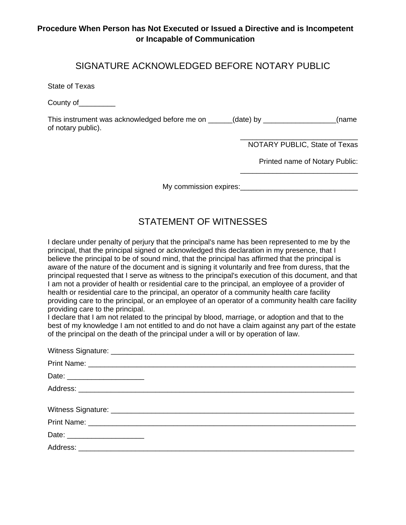### SIGNATURE ACKNOWLEDGED BEFORE NOTARY PUBLIC

State of Texas

County of\_\_\_\_\_\_\_\_\_

This instrument was acknowledged before me on \_\_\_\_\_\_(date) by \_\_\_\_\_\_\_\_\_\_\_\_\_\_\_\_\_(name of notary public).

> \_\_\_\_\_\_\_\_\_\_\_\_\_\_\_\_\_\_\_\_\_\_\_\_\_\_\_\_\_ NOTARY PUBLIC, State of Texas

\_\_\_\_\_\_\_\_\_\_\_\_\_\_\_\_\_\_\_\_\_\_\_\_\_\_\_\_\_

Printed name of Notary Public:

My commission expires:\_\_\_\_\_\_\_\_\_\_\_\_\_\_\_\_\_\_\_\_\_\_\_\_\_\_\_\_\_

## STATEMENT OF WITNESSES

I declare under penalty of perjury that the principal's name has been represented to me by the principal, that the principal signed or acknowledged this declaration in my presence, that I believe the principal to be of sound mind, that the principal has affirmed that the principal is aware of the nature of the document and is signing it voluntarily and free from duress, that the principal requested that I serve as witness to the principal's execution of this document, and that I am not a provider of health or residential care to the principal, an employee of a provider of health or residential care to the principal, an operator of a community health care facility providing care to the principal, or an employee of an operator of a community health care facility providing care to the principal.

I declare that I am not related to the principal by blood, marriage, or adoption and that to the best of my knowledge I am not entitled to and do not have a claim against any part of the estate of the principal on the death of the principal under a will or by operation of law.

| Date: ________________________ |
|--------------------------------|
|                                |